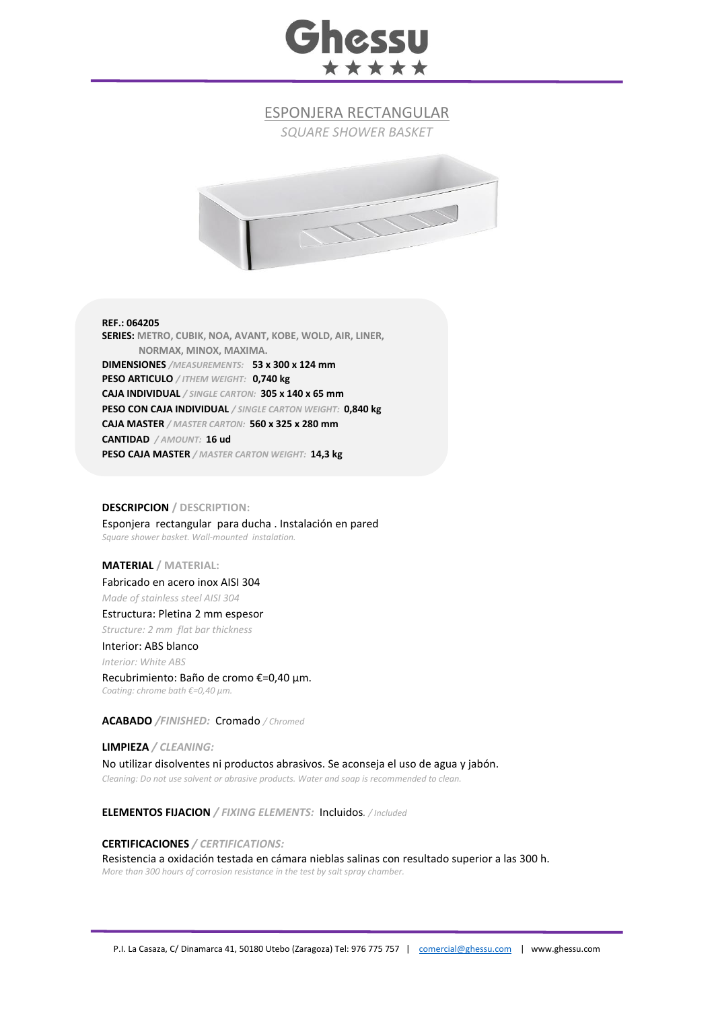

ESPONJERA RECTANGULAR

*SQUARE SHOWER BASKET*



**REF.: 064205 SERIES: METRO, CUBIK, NOA, AVANT, KOBE, WOLD, AIR, LINER, NORMAX, MINOX, MAXIMA. DIMENSIONES** */MEASUREMENTS:* **53 x 300 x 124 mm PESO ARTICULO** */ ITHEM WEIGHT:* **0,740 kg CAJA INDIVIDUAL** */ SINGLE CARTON:* **305 x 140 x 65 mm PESO CON CAJA INDIVIDUAL** */ SINGLE CARTON WEIGHT:* **0,840 kg CAJA MASTER** */ MASTER CARTON:* **560 x 325 x 280 mm CANTIDAD** */ AMOUNT:* **16 ud PESO CAJA MASTER** */ MASTER CARTON WEIGHT:* **14,3 kg**

## **DESCRIPCION / DESCRIPTION:**

Esponjera rectangular para ducha . Instalación en pared *Square shower basket. Wall-mounted instalation.*

# **MATERIAL / MATERIAL:**

Fabricado en acero inox AISI 304 *Made of stainless steel AISI 304*

Estructura: Pletina 2 mm espesor *Structure: 2 mm flat bar thickness*

### Interior: ABS blanco

*Interior: White ABS*

#### Recubrimiento: Baño de cromo €=0,40 μm.

*Coating: chrome bath €=0,40 μm.*

**ACABADO** */FINISHED:* Cromado */ Chromed*

**LIMPIEZA** */ CLEANING:* No utilizar disolventes ni productos abrasivos. Se aconseja el uso de agua y jabón. *Cleaning: Do not use solvent or abrasive products. Water and soap is recommended to clean.*

**ELEMENTOS FIJACION** */ FIXING ELEMENTS:* Incluidos*. / Included*

## **CERTIFICACIONES** */ CERTIFICATIONS:*

Resistencia a oxidación testada en cámara nieblas salinas con resultado superior a las 300 h. *More than 300 hours of corrosion resistance in the test by salt spray chamber.*